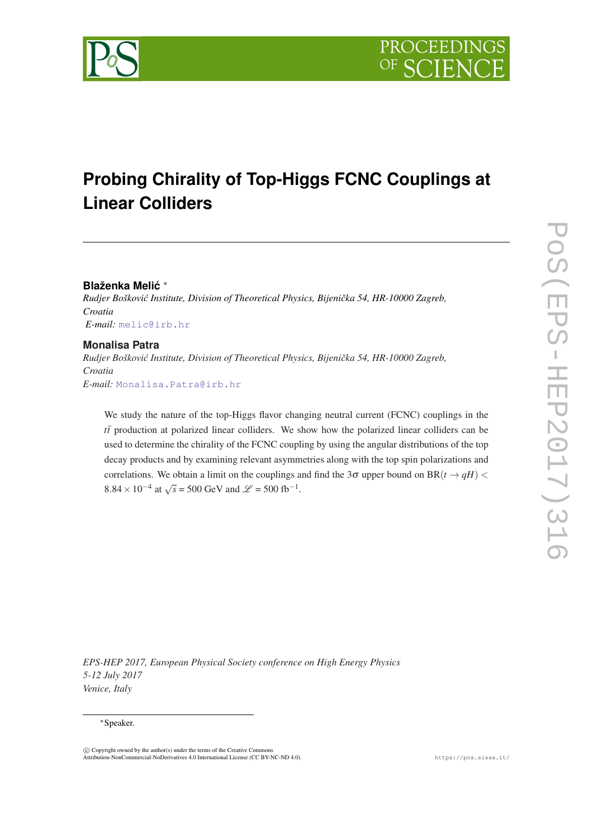

# **Probing Chirality of Top-Higgs FCNC Couplings at Linear Colliders**

## **Blaženka Melic´** ∗

*Rudjer Boškovi´c Institute, Division of Theoretical Physics, Bijeniˇcka 54, HR-10000 Zagreb, Croatia E-mail:* [melic@irb.hr](mailto:melic@irb.hr)

## **Monalisa Patra**

*Rudjer Boškovi´c Institute, Division of Theoretical Physics, Bijeniˇcka 54, HR-10000 Zagreb, Croatia E-mail:* [Monalisa.Patra@irb.hr](mailto:Monalisa.Patra@irb.hr)

We study the nature of the top-Higgs flavor changing neutral current (FCNC) couplings in the *tt*¯ production at polarized linear colliders. We show how the polarized linear colliders can be used to determine the chirality of the FCNC coupling by using the angular distributions of the top decay products and by examining relevant asymmetries along with the top spin polarizations and correlations. We obtain a limit on the couplings and find the 3 $\sigma$  upper bound on BR( $t \rightarrow qH$ ) < 8.84 × 10<sup>-4</sup> at  $\sqrt{s}$  = 500 GeV and  $\mathcal{L}$  = 500 fb<sup>-1</sup>.

*EPS-HEP 2017, European Physical Society conference on High Energy Physics 5-12 July 2017 Venice, Italy*

## <sup>∗</sup>Speaker.

 $\overline{c}$  Copyright owned by the author(s) under the terms of the Creative Common Attribution-NonCommercial-NoDerivatives 4.0 International License (CC BY-NC-ND 4.0). https://pos.sissa.it/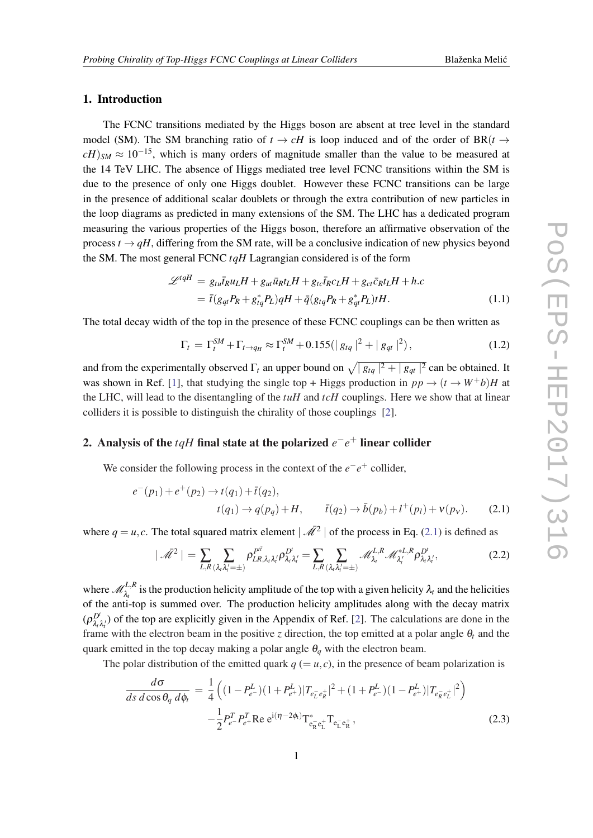## <span id="page-1-0"></span>1. Introduction

The FCNC transitions mediated by the Higgs boson are absent at tree level in the standard model (SM). The SM branching ratio of  $t \to cH$  is loop induced and of the order of BR( $t \to cH$ )  $cH$ )<sub>*SM*</sub>  $\approx 10^{-15}$ , which is many orders of magnitude smaller than the value to be measured at the 14 TeV LHC. The absence of Higgs mediated tree level FCNC transitions within the SM is due to the presence of only one Higgs doublet. However these FCNC transitions can be large in the presence of additional scalar doublets or through the extra contribution of new particles in the loop diagrams as predicted in many extensions of the SM. The LHC has a dedicated program measuring the various properties of the Higgs boson, therefore an affirmative observation of the process  $t \rightarrow qH$ , differing from the SM rate, will be a conclusive indication of new physics beyond the SM. The most general FCNC *tqH* Lagrangian considered is of the form

$$
\mathcal{L}^{tqH} = g_{tu}\bar{t}_R u_L H + g_{ut}\bar{u}_R t_L H + g_{tc}\bar{t}_R c_L H + g_{ct}\bar{c}_R t_L H + h.c
$$
  
=  $\bar{t}(g_{qt}P_R + g_{tq}^*P_L)qH + \bar{q}(g_{tq}P_R + g_{qt}^*P_L) tH.$  (1.1)

The total decay width of the top in the presence of these FCNC couplings can be then written as

$$
\Gamma_t = \Gamma_t^{SM} + \Gamma_{t \to q_H} \approx \Gamma_t^{SM} + 0.155 (|g_{tq}|^2 + |g_{qt}|^2), \tag{1.2}
$$

and from the experimentally observed  $\Gamma_t$  an upper bound on  $\sqrt{|g_{tq}|^2 + |g_{qt}|^2}$  can be obtained. It was shown in Ref. [\[1\]](#page-5-0), that studying the single top + Higgs production in  $pp \rightarrow (t \rightarrow W^{+}b)H$  at the LHC, will lead to the disentangling of the *tuH* and *tcH* couplings. Here we show that at linear colliders it is possible to distinguish the chirality of those couplings [[2](#page-5-0)].

## 2. Analysis of the *tqH* final state at the polarized  $e^-e^+$  linear collider

We consider the following process in the context of the  $e^-e^+$  collider,

$$
e^-(p_1) + e^+(p_2) \to t(q_1) + \bar{t}(q_2),
$$
  
\n
$$
t(q_1) \to q(p_q) + H, \qquad \bar{t}(q_2) \to \bar{b}(p_b) + l^+(p_l) + \nu(p_v).
$$
 (2.1)

where  $q = u, c$ . The total squared matrix element  $\left| \overrightarrow{\mathcal{M}}^2 \right|$  of the process in Eq. (2.1) is defined as

$$
|\bar{\mathcal{M}}^2| = \sum_{L,R} \sum_{(\lambda_t \lambda_t' = \pm)} \rho_{LR,\lambda_t \lambda_t'}^{P^i} \rho_{\lambda_t \lambda_t'}^{D^i} = \sum_{L,R} \sum_{(\lambda_t \lambda_t' = \pm)} \mathcal{M}_{\lambda_t}^{L,R} \mathcal{M}_{\lambda_t'}^{*L,R} \rho_{\lambda_t \lambda_t'}^{D^i},
$$
(2.2)

where  $\mathcal{M}_{\lambda_t}^{L,R}$  is the production helicity amplitude of the top with a given helicity  $\lambda_t$  and the helicities of the anti-top is summed over. The production helicity amplitudes along with the decay matrix  $(\rho^{D^t}_{\lambda_t}]$  $\frac{D^r}{\lambda_r \lambda_r}$  of the top are explicitly given in the Appendix of Ref. [\[2\]](#page-5-0). The calculations are done in the frame with the electron beam in the positive *z* direction, the top emitted at a polar angle  $\theta_t$  and the quark emitted in the top decay making a polar angle  $\theta_a$  with the electron beam.

The polar distribution of the emitted quark  $q (= u, c)$ , in the presence of beam polarization is

$$
\frac{d\sigma}{ds \, d\cos\theta_q \, d\phi_t} = \frac{1}{4} \left( (1 - P_{e^-}^L)(1 + P_{e^+}^L) |T_{e_L^- e_R^+}|^2 + (1 + P_{e^-}^L)(1 - P_{e^+}^L) |T_{e_R^- e_L^+}|^2 \right) \n- \frac{1}{2} P_{e^-}^T P_{e^+}^T \text{Re } e^{i(\eta - 2\phi_t)} T_{e_R^- e_L^+}^* T_{e_L^- e_R^+},
$$
\n(2.3)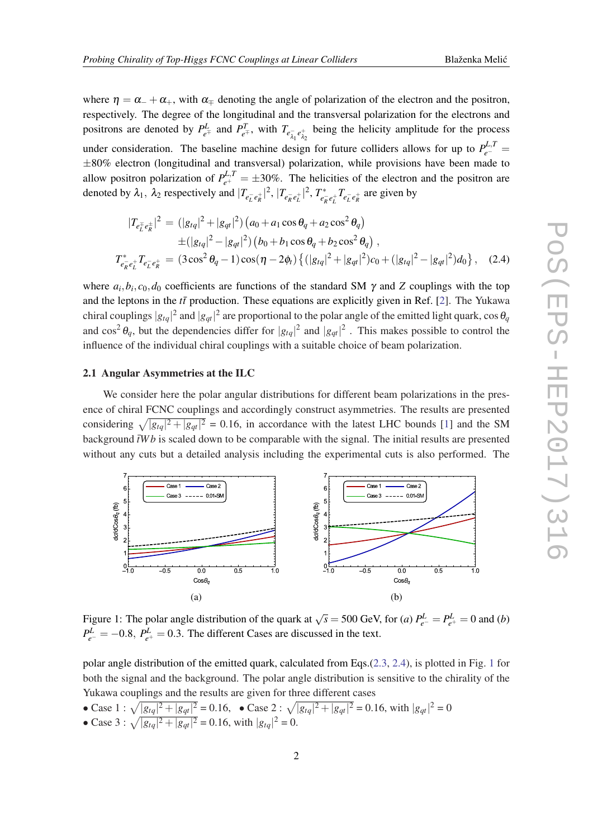<span id="page-2-0"></span>where  $\eta = \alpha_{-} + \alpha_{+}$ , with  $\alpha_{\pm}$  denoting the angle of polarization of the electron and the positron, respectively. The degree of the longitudinal and the transversal polarization for the electrons and positrons are denoted by  $P_{e^{\mp}}^L$  and  $P_{e^{\mp}}^T$ , with  $T_{e_{\lambda_1}^-e_{\lambda_2}^+}$  being the helicity amplitude for the process under consideration. The baseline machine design for future colliders allows for up to  $P_{e^-}^{L,T}$  = ±80% electron (longitudinal and transversal) polarization, while provisions have been made to allow positron polarization of  $P_{e^+}^{L,T} = \pm 30\%$ . The helicities of the electron and the positron are denoted by  $\lambda_1$ ,  $\lambda_2$  respectively and  $|T_{e_L^- e_R^+}|^2$ ,  $|T_{e_R^- e_L^+}|^2$ ,  $T_{e_I^+}^*$  $\int_{e_R^- e_L^+}^{e^+} T_{e_L^- e_R^+}$  are given by

$$
|T_{e_L^{\pm}e_R^{\pm}}|^2 = (|g_{tq}|^2 + |g_{qt}|^2) (a_0 + a_1 \cos \theta_q + a_2 \cos^2 \theta_q)
$$
  
\n
$$
\pm (|g_{tq}|^2 - |g_{qt}|^2) (b_0 + b_1 \cos \theta_q + b_2 \cos^2 \theta_q),
$$
  
\n
$$
T_{e_R^{\pm}e_L^{\pm}}^* T_{e_L^{\pm}e_R^{\pm}} = (3 \cos^2 \theta_q - 1) \cos(\eta - 2\phi_t) \{ (|g_{tq}|^2 + |g_{qt}|^2) c_0 + (|g_{tq}|^2 - |g_{qt}|^2) d_0 \}, (2.4)
$$

where  $a_i, b_i, c_0, d_0$  coefficients are functions of the standard SM  $\gamma$  and *Z* couplings with the top and the leptons in the  $t\bar{t}$  production. These equations are explicitly given in Ref. [\[2\]](#page-5-0). The Yukawa chiral couplings  $|g_{tq}|^2$  and  $|g_{qt}|^2$  are proportional to the polar angle of the emitted light quark,  $\cos\theta_q$ and  $\cos^2 \theta_q$ , but the dependencies differ for  $|g_{tq}|^2$  and  $|g_{qt}|^2$ . This makes possible to control the influence of the individual chiral couplings with a suitable choice of beam polarization.

### 2.1 Angular Asymmetries at the ILC

We consider here the polar angular distributions for different beam polarizations in the presence of chiral FCNC couplings and accordingly construct asymmetries. The results are presented considering  $\sqrt{|g_{tq}|^2 + |g_{qt}|^2} = 0.16$  $\sqrt{|g_{tq}|^2 + |g_{qt}|^2} = 0.16$  $\sqrt{|g_{tq}|^2 + |g_{qt}|^2} = 0.16$ , in accordance with the latest LHC bounds [1] and the SM background  $\bar{t}Wb$  is scaled down to be comparable with the signal. The initial results are presented without any cuts but a detailed analysis including the experimental cuts is also performed. The



Figure 1: The polar angle distribution of the quark at  $\sqrt{s} = 500$  GeV, for (*a*)  $P_{e^-}^L = P_{e^+}^L = 0$  and (*b*)  $P_{e^-}^L = -0.8$ ,  $P_{e^+}^L = 0.3$ . The different Cases are discussed in the text.

polar angle distribution of the emitted quark, calculated from Eqs.([2.3,](#page-1-0) 2.4), is plotted in Fig. 1 for both the signal and the background. The polar angle distribution is sensitive to the chirality of the Yukawa couplings and the results are given for three different cases

• Case 1 : 
$$
\sqrt{|g_{tq}|^2 + |g_{qt}|^2} = 0.16
$$
,   
• Case 2 :  $\sqrt{|g_{tq}|^2 + |g_{qt}|^2} = 0.16$ , with  $|g_{qt}|^2 = 0$   
• Case 3 :  $\sqrt{|g_{tq}|^2 + |g_{qt}|^2} = 0.16$ , with  $|g_{tq}|^2 = 0$ .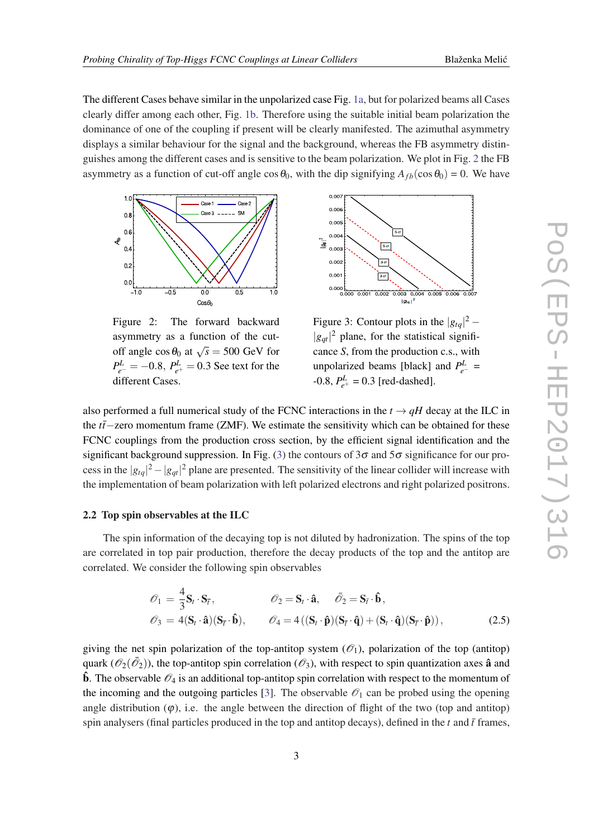<span id="page-3-0"></span>The different Cases behave similar in the unpolarized case Fig. [1a,](#page-2-0) but for polarized beams all Cases clearly differ among each other, Fig. [1b.](#page-2-0) Therefore using the suitable initial beam polarization the dominance of one of the coupling if present will be clearly manifested. The azimuthal asymmetry displays a similar behaviour for the signal and the background, whereas the FB asymmetry distinguishes among the different cases and is sensitive to the beam polarization. We plot in Fig. 2 the FB asymmetry as a function of cut-off angle  $\cos \theta_0$ , with the dip signifying  $A_{fb}(\cos \theta_0) = 0$ . We have



Figure 2: The forward backward asymmetry as a function of the cutoff angle  $\cos \theta_0$  at  $\sqrt{s} = 500$  GeV for  $P_{e^-}^L = -0.8$ ,  $P_{e^+}^L = 0.3$  See text for the different Cases.



Figure 3: Contour plots in the  $|g_{tq}|^2$  –  $|g_{qt}|^2$  plane, for the statistical significance *S*, from the production c.s., with unpolarized beams [black] and  $P_{e^-}^L$  =  $-0.8$ ,  $P_{e^+}^L = 0.3$  [red-dashed].

also performed a full numerical study of the FCNC interactions in the  $t \rightarrow qH$  decay at the ILC in the *tt*¯−zero momentum frame (ZMF). We estimate the sensitivity which can be obtained for these FCNC couplings from the production cross section, by the efficient signal identification and the significant background suppression. In Fig. (3) the contours of  $3\sigma$  and  $5\sigma$  significance for our process in the  $|g_{tq}|^2 - |g_{qt}|^2$  plane are presented. The sensitivity of the linear collider will increase with the implementation of beam polarization with left polarized electrons and right polarized positrons.

### 2.2 Top spin observables at the ILC

The spin information of the decaying top is not diluted by hadronization. The spins of the top are correlated in top pair production, therefore the decay products of the top and the antitop are correlated. We consider the following spin observables

$$
\begin{aligned}\n\mathcal{O}_1 &= \frac{4}{3} \mathbf{S}_t \cdot \mathbf{S}_{\bar{t}}, & \mathcal{O}_2 &= \mathbf{S}_t \cdot \hat{\mathbf{a}}, & \bar{\mathcal{O}}_2 &= \mathbf{S}_{\bar{t}} \cdot \hat{\mathbf{b}}, \\
\mathcal{O}_3 &= 4(\mathbf{S}_t \cdot \hat{\mathbf{a}})(\mathbf{S}_{\bar{t}} \cdot \hat{\mathbf{b}}), & \mathcal{O}_4 &= 4((\mathbf{S}_t \cdot \hat{\mathbf{p}})(\mathbf{S}_{\bar{t}} \cdot \hat{\mathbf{q}}) + (\mathbf{S}_t \cdot \hat{\mathbf{q}})(\mathbf{S}_{\bar{t}} \cdot \hat{\mathbf{p}})),\n\end{aligned}
$$
(2.5)

giving the net spin polarization of the top-antitop system  $(\mathscr{O}_1)$ , polarization of the top (antitop) quark  $(\mathscr{O}_2(\bar{\mathscr{O}}_2))$ , the top-antitop spin correlation  $(\mathscr{O}_3)$ , with respect to spin quantization axes  $\hat{a}$  and **b**. The observable  $\mathcal{O}_4$  is an additional top-antitop spin correlation with respect to the momentum of the incoming and the outgoing particles [\[3\]](#page-5-0). The observable  $\mathcal{O}_1$  can be probed using the opening angle distribution  $(\varphi)$ , i.e. the angle between the direction of flight of the two (top and antitop) spin analysers (final particles produced in the top and antitop decays), defined in the  $t$  and  $\bar{t}$  frames,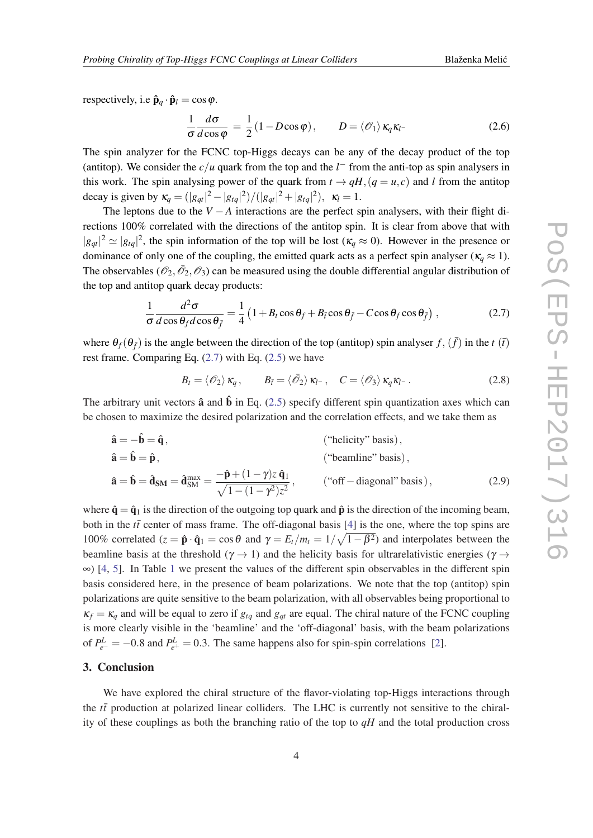respectively, i.e  $\hat{\mathbf{p}}_q \cdot \hat{\mathbf{p}}_l = \cos \varphi$ .

$$
\frac{1}{\sigma} \frac{d\sigma}{d\cos\varphi} = \frac{1}{2} (1 - D\cos\varphi), \qquad D = \langle \mathcal{O}_1 \rangle \, \kappa_q \kappa_l. \tag{2.6}
$$

The spin analyzer for the FCNC top-Higgs decays can be any of the decay product of the top (antitop). We consider the  $c/u$  quark from the top and the  $l^-$  from the anti-top as spin analysers in this work. The spin analysing power of the quark from  $t \to qH$ ,  $(q = u, c)$  and *l* from the antitop decay is given by  $\kappa_q = (|g_{qt}|^2 - |g_{tq}|^2) / (|g_{qt}|^2 + |g_{tq}|^2)$ ,  $\kappa_l = 1$ .

The leptons due to the  $V - A$  interactions are the perfect spin analysers, with their flight directions 100% correlated with the directions of the antitop spin. It is clear from above that with  $|g_{qt}|^2 \simeq |g_{tq}|^2$ , the spin information of the top will be lost ( $\kappa_q \approx 0$ ). However in the presence or dominance of only one of the coupling, the emitted quark acts as a perfect spin analyser ( $\kappa_q \approx 1$ ). The observables  $(\mathcal{O}_2, \bar{\mathcal{O}}_2, \mathcal{O}_3)$  can be measured using the double differential angular distribution of the top and antitop quark decay products:

$$
\frac{1}{\sigma} \frac{d^2 \sigma}{d \cos \theta_f d \cos \theta_{\bar{f}}} = \frac{1}{4} \left( 1 + B_t \cos \theta_f + B_{\bar{t}} \cos \theta_{\bar{f}} - C \cos \theta_f \cos \theta_{\bar{f}} \right),\tag{2.7}
$$

where  $\theta_f(\theta_{\bar{f}})$  is the angle between the direction of the top (antitop) spin analyser  $f, (\bar{f})$  in the *t*  $(\bar{t})$ rest frame. Comparing Eq.  $(2.7)$  with Eq.  $(2.5)$  $(2.5)$  $(2.5)$  we have

$$
B_t = \langle \mathcal{O}_2 \rangle \, \kappa_q \,, \qquad B_{\bar{t}} = \langle \bar{\mathcal{O}}_2 \rangle \, \kappa_{l^-} \,, \quad C = \langle \mathcal{O}_3 \rangle \, \kappa_q \kappa_{l^-} \,. \tag{2.8}
$$

The arbitrary unit vectors  $\hat{a}$  and  $\hat{b}$  in Eq. ([2.5](#page-3-0)) specify different spin quantization axes which can be chosen to maximize the desired polarization and the correlation effects, and we take them as

$$
\hat{\mathbf{a}} = -\hat{\mathbf{b}} = \hat{\mathbf{q}}, \qquad \qquad \text{(``helicity'' basis)},
$$
\n
$$
\hat{\mathbf{a}} = \hat{\mathbf{b}} = \hat{\mathbf{p}}, \qquad \qquad \text{(``helicity'' basis)},
$$
\n
$$
\hat{\mathbf{a}} = \hat{\mathbf{b}} = \hat{\mathbf{d}}_{\text{SM}} = \frac{-\hat{\mathbf{p}} + (1 - \gamma)z \hat{\mathbf{q}}_1}{\sqrt{1 - (1 - \gamma^2)z^2}}, \qquad \qquad \text{(``off-diagonal'' basis)}, \qquad \qquad \text{(2.9)}
$$

where  $\hat{\mathbf{q}} = \hat{\mathbf{q}}_1$  is the direction of the outgoing top quark and  $\hat{\mathbf{p}}$  is the direction of the incoming beam, both in the  $t\bar{t}$  center of mass frame. The off-diagonal basis [\[4\]](#page-5-0) is the one, where the top spins are 100% correlated  $(z = \hat{\mathbf{p}} \cdot \hat{\mathbf{q}}_1 = \cos \theta$  and  $\gamma = E_t/m_t = 1/\sqrt{1-\beta^2}$  and interpolates between the beamline basis at the threshold ( $\gamma \rightarrow 1$ ) and the helicity basis for ultrarelativistic energies ( $\gamma \rightarrow$  $\infty$ ) [[4](#page-5-0), [5\]](#page-5-0). In Table [1](#page-5-0) we present the values of the different spin observables in the different spin basis considered here, in the presence of beam polarizations. We note that the top (antitop) spin polarizations are quite sensitive to the beam polarization, with all observables being proportional to  $\kappa_f = \kappa_q$  and will be equal to zero if  $g_{tq}$  and  $g_{qt}$  are equal. The chiral nature of the FCNC coupling is more clearly visible in the 'beamline' and the 'off-diagonal' basis, with the beam polarizations of  $P_{e^-}^L = -0.8$  and  $P_{e^+}^L = 0.3$ . The same happens also for spin-spin correlations [[2](#page-5-0)].

## 3. Conclusion

We have explored the chiral structure of the flavor-violating top-Higgs interactions through the  $t\bar{t}$  production at polarized linear colliders. The LHC is currently not sensitive to the chirality of these couplings as both the branching ratio of the top to *qH* and the total production cross